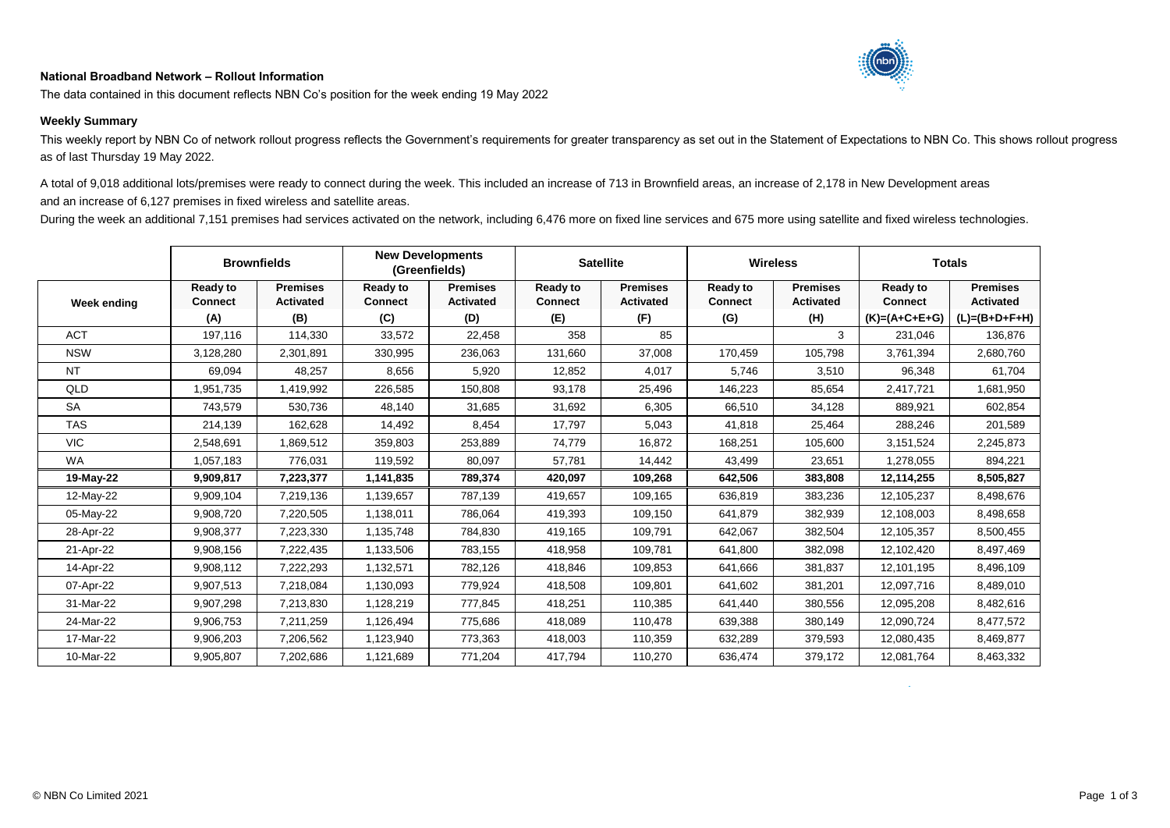## **National Broadband Network – Rollout Information**



The data contained in this document reflects NBN Co's position for the week ending 19 May 2022

## **Weekly Summary**

This weekly report by NBN Co of network rollout progress reflects the Government's requirements for greater transparency as set out in the Statement of Expectations to NBN Co. This shows rollout progress as of last Thursday 19 May 2022.

A total of 9,018 additional lots/premises were ready to connect during the week. This included an increase of 713 in Brownfield areas, an increase of 2,178 in New Development areas and an increase of 6,127 premises in fixed wireless and satellite areas.

During the week an additional 7,151 premises had services activated on the network, including 6,476 more on fixed line services and 675 more using satellite and fixed wireless technologies.

|             | <b>Brownfields</b>                       |                                            | <b>New Developments</b><br>(Greenfields) |                                            | <b>Satellite</b>                         |                                            | <b>Wireless</b>                          |                                            | <b>Totals</b>                                        |                                                        |
|-------------|------------------------------------------|--------------------------------------------|------------------------------------------|--------------------------------------------|------------------------------------------|--------------------------------------------|------------------------------------------|--------------------------------------------|------------------------------------------------------|--------------------------------------------------------|
| Week ending | <b>Ready to</b><br><b>Connect</b><br>(A) | <b>Premises</b><br><b>Activated</b><br>(B) | <b>Ready to</b><br><b>Connect</b><br>(C) | <b>Premises</b><br><b>Activated</b><br>(D) | <b>Ready to</b><br><b>Connect</b><br>(E) | <b>Premises</b><br><b>Activated</b><br>(F) | <b>Ready to</b><br><b>Connect</b><br>(G) | <b>Premises</b><br><b>Activated</b><br>(H) | <b>Ready to</b><br><b>Connect</b><br>$(K)=(A+C+E+G)$ | <b>Premises</b><br><b>Activated</b><br>$(L)=(B+D+F+H)$ |
| <b>ACT</b>  | 197,116                                  | 114,330                                    | 33,572                                   | 22,458                                     | 358                                      | 85                                         |                                          | 3                                          | 231,046                                              | 136,876                                                |
| <b>NSW</b>  | 3,128,280                                | 2,301,891                                  | 330,995                                  | 236,063                                    | 131,660                                  | 37,008                                     | 170,459                                  | 105,798                                    | 3,761,394                                            | 2,680,760                                              |
| <b>NT</b>   | 69,094                                   | 48,257                                     | 8,656                                    | 5,920                                      | 12,852                                   | 4,017                                      | 5,746                                    | 3,510                                      | 96,348                                               | 61,704                                                 |
| QLD         | 1,951,735                                | 1,419,992                                  | 226,585                                  | 150,808                                    | 93,178                                   | 25,496                                     | 146,223                                  | 85,654                                     | 2,417,721                                            | 1,681,950                                              |
| <b>SA</b>   | 743,579                                  | 530,736                                    | 48,140                                   | 31,685                                     | 31,692                                   | 6,305                                      | 66,510                                   | 34,128                                     | 889,921                                              | 602,854                                                |
| <b>TAS</b>  | 214,139                                  | 162,628                                    | 14,492                                   | 8,454                                      | 17,797                                   | 5,043                                      | 41,818                                   | 25,464                                     | 288,246                                              | 201,589                                                |
| <b>VIC</b>  | 2,548,691                                | 1,869,512                                  | 359,803                                  | 253,889                                    | 74,779                                   | 16,872                                     | 168,251                                  | 105,600                                    | 3,151,524                                            | 2,245,873                                              |
| <b>WA</b>   | 1,057,183                                | 776,031                                    | 119,592                                  | 80,097                                     | 57,781                                   | 14,442                                     | 43,499                                   | 23,651                                     | 1,278,055                                            | 894,221                                                |
| 19-May-22   | 9,909,817                                | 7,223,377                                  | 1,141,835                                | 789,374                                    | 420,097                                  | 109,268                                    | 642,506                                  | 383,808                                    | 12,114,255                                           | 8,505,827                                              |
| 12-May-22   | 9,909,104                                | 7,219,136                                  | 1,139,657                                | 787,139                                    | 419,657                                  | 109,165                                    | 636,819                                  | 383,236                                    | 12,105,237                                           | 8,498,676                                              |
| 05-May-22   | 9,908,720                                | 7,220,505                                  | 1,138,011                                | 786,064                                    | 419,393                                  | 109,150                                    | 641,879                                  | 382,939                                    | 12,108,003                                           | 8,498,658                                              |
| 28-Apr-22   | 9,908,377                                | 7,223,330                                  | 1,135,748                                | 784,830                                    | 419,165                                  | 109,791                                    | 642,067                                  | 382,504                                    | 12,105,357                                           | 8,500,455                                              |
| 21-Apr-22   | 9,908,156                                | 7,222,435                                  | 1,133,506                                | 783,155                                    | 418,958                                  | 109.781                                    | 641,800                                  | 382,098                                    | 12,102,420                                           | 8,497,469                                              |
| 14-Apr-22   | 9,908,112                                | 7,222,293                                  | 1,132,571                                | 782,126                                    | 418,846                                  | 109,853                                    | 641,666                                  | 381,837                                    | 12,101,195                                           | 8,496,109                                              |
| 07-Apr-22   | 9,907,513                                | 7,218,084                                  | 1,130,093                                | 779,924                                    | 418,508                                  | 109,801                                    | 641,602                                  | 381,201                                    | 12,097,716                                           | 8,489,010                                              |
| 31-Mar-22   | 9,907,298                                | 7,213,830                                  | 1,128,219                                | 777,845                                    | 418,251                                  | 110,385                                    | 641,440                                  | 380,556                                    | 12,095,208                                           | 8,482,616                                              |
| 24-Mar-22   | 9,906,753                                | 7,211,259                                  | 1,126,494                                | 775,686                                    | 418,089                                  | 110,478                                    | 639,388                                  | 380,149                                    | 12,090,724                                           | 8,477,572                                              |
| 17-Mar-22   | 9,906,203                                | 7,206,562                                  | 1,123,940                                | 773,363                                    | 418,003                                  | 110,359                                    | 632,289                                  | 379,593                                    | 12,080,435                                           | 8,469,877                                              |
| 10-Mar-22   | 9,905,807                                | 7,202,686                                  | 1,121,689                                | 771,204                                    | 417,794                                  | 110,270                                    | 636,474                                  | 379,172                                    | 12,081,764                                           | 8,463,332                                              |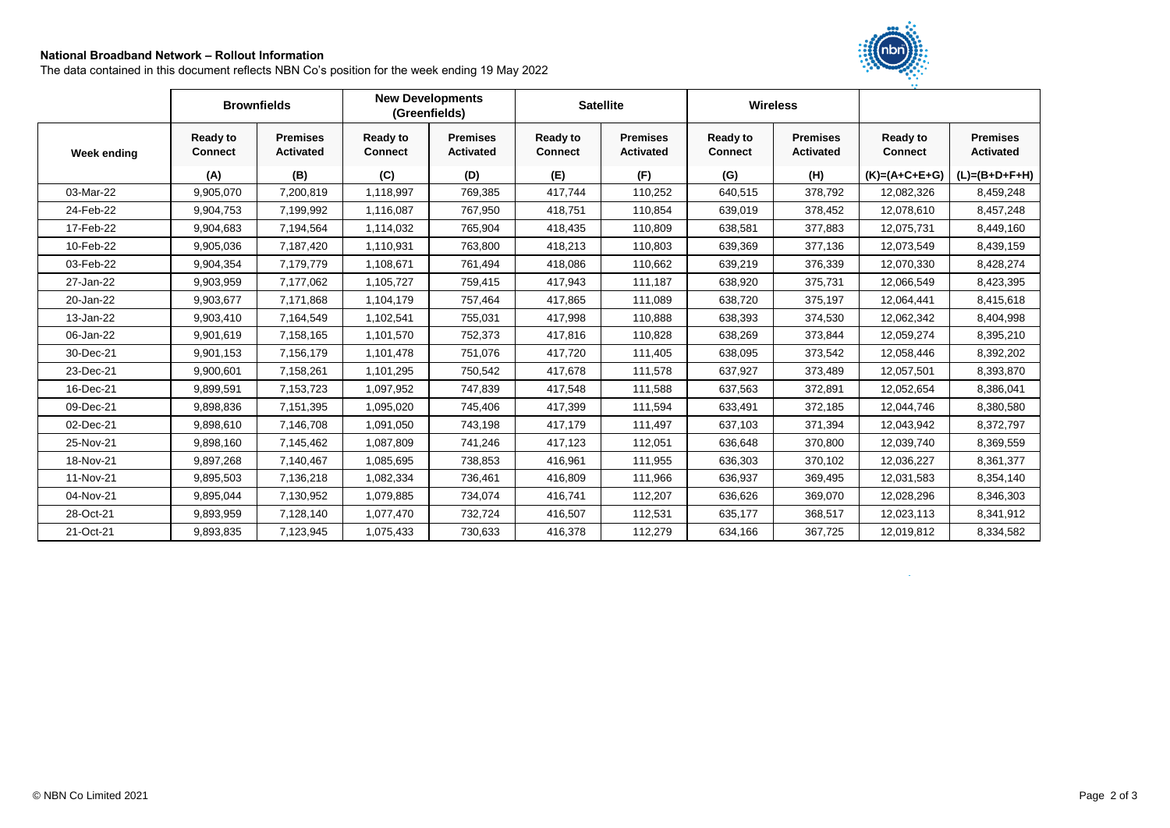## **National Broadband Network – Rollout Information**

The data contained in this document reflects NBN Co's position for the week ending 19 May 2022



|             | <b>Brownfields</b>                |                                     | <b>New Developments</b><br>(Greenfields) |                                     | <b>Satellite</b>                  |                                     | <b>Wireless</b>                   |                                     |                                   |                                     |
|-------------|-----------------------------------|-------------------------------------|------------------------------------------|-------------------------------------|-----------------------------------|-------------------------------------|-----------------------------------|-------------------------------------|-----------------------------------|-------------------------------------|
| Week ending | <b>Ready to</b><br><b>Connect</b> | <b>Premises</b><br><b>Activated</b> | <b>Ready to</b><br><b>Connect</b>        | <b>Premises</b><br><b>Activated</b> | <b>Ready to</b><br><b>Connect</b> | <b>Premises</b><br><b>Activated</b> | <b>Ready to</b><br><b>Connect</b> | <b>Premises</b><br><b>Activated</b> | <b>Ready to</b><br><b>Connect</b> | <b>Premises</b><br><b>Activated</b> |
|             | (A)                               | (B)                                 | (C)                                      | (D)                                 | (E)                               | (F)                                 | (G)                               | (H)                                 | $(K)=(A+C+E+G)$                   | $(L)=(B+D+F+H)$                     |
| 03-Mar-22   | 9,905,070                         | 7,200,819                           | 1,118,997                                | 769,385                             | 417,744                           | 110,252                             | 640,515                           | 378,792                             | 12,082,326                        | 8,459,248                           |
| 24-Feb-22   | 9,904,753                         | 7,199,992                           | 1,116,087                                | 767,950                             | 418,751                           | 110,854                             | 639,019                           | 378,452                             | 12,078,610                        | 8,457,248                           |
| 17-Feb-22   | 9,904,683                         | 7,194,564                           | 1,114,032                                | 765,904                             | 418,435                           | 110,809                             | 638,581                           | 377,883                             | 12,075,731                        | 8,449,160                           |
| 10-Feb-22   | 9,905,036                         | 7,187,420                           | 1,110,931                                | 763,800                             | 418,213                           | 110,803                             | 639,369                           | 377,136                             | 12,073,549                        | 8,439,159                           |
| 03-Feb-22   | 9,904,354                         | 7,179,779                           | 1,108,671                                | 761,494                             | 418,086                           | 110,662                             | 639,219                           | 376,339                             | 12,070,330                        | 8,428,274                           |
| 27-Jan-22   | 9,903,959                         | 7,177,062                           | 1,105,727                                | 759,415                             | 417,943                           | 111,187                             | 638,920                           | 375,731                             | 12,066,549                        | 8,423,395                           |
| 20-Jan-22   | 9,903,677                         | 7,171,868                           | 1,104,179                                | 757,464                             | 417,865                           | 111,089                             | 638,720                           | 375,197                             | 12,064,441                        | 8,415,618                           |
| 13-Jan-22   | 9,903,410                         | 7,164,549                           | 1,102,541                                | 755,031                             | 417,998                           | 110,888                             | 638,393                           | 374,530                             | 12,062,342                        | 8,404,998                           |
| 06-Jan-22   | 9,901,619                         | 7,158,165                           | 1,101,570                                | 752,373                             | 417,816                           | 110,828                             | 638,269                           | 373,844                             | 12,059,274                        | 8,395,210                           |
| 30-Dec-21   | 9,901,153                         | 7,156,179                           | 1,101,478                                | 751,076                             | 417,720                           | 111,405                             | 638,095                           | 373,542                             | 12,058,446                        | 8,392,202                           |
| 23-Dec-21   | 9,900,601                         | 7,158,261                           | 1,101,295                                | 750,542                             | 417,678                           | 111,578                             | 637,927                           | 373,489                             | 12,057,501                        | 8,393,870                           |
| 16-Dec-21   | 9,899,591                         | 7,153,723                           | 1,097,952                                | 747,839                             | 417,548                           | 111,588                             | 637,563                           | 372,891                             | 12,052,654                        | 8,386,041                           |
| 09-Dec-21   | 9,898,836                         | 7,151,395                           | 1,095,020                                | 745,406                             | 417,399                           | 111,594                             | 633,491                           | 372,185                             | 12,044,746                        | 8,380,580                           |
| 02-Dec-21   | 9,898,610                         | 7,146,708                           | 1,091,050                                | 743,198                             | 417,179                           | 111,497                             | 637,103                           | 371,394                             | 12,043,942                        | 8,372,797                           |
| 25-Nov-21   | 9,898,160                         | 7,145,462                           | 1,087,809                                | 741,246                             | 417,123                           | 112,051                             | 636,648                           | 370,800                             | 12,039,740                        | 8,369,559                           |
| 18-Nov-21   | 9,897,268                         | 7,140,467                           | 1,085,695                                | 738,853                             | 416,961                           | 111,955                             | 636,303                           | 370,102                             | 12,036,227                        | 8,361,377                           |
| 11-Nov-21   | 9,895,503                         | 7,136,218                           | 1,082,334                                | 736,461                             | 416,809                           | 111,966                             | 636,937                           | 369,495                             | 12,031,583                        | 8,354,140                           |
| 04-Nov-21   | 9,895,044                         | 7,130,952                           | 1,079,885                                | 734,074                             | 416,741                           | 112,207                             | 636,626                           | 369,070                             | 12,028,296                        | 8,346,303                           |
| 28-Oct-21   | 9,893,959                         | 7,128,140                           | 1,077,470                                | 732,724                             | 416,507                           | 112,531                             | 635,177                           | 368,517                             | 12,023,113                        | 8,341,912                           |
| 21-Oct-21   | 9,893,835                         | 7,123,945                           | 1,075,433                                | 730,633                             | 416,378                           | 112,279                             | 634,166                           | 367,725                             | 12,019,812                        | 8,334,582                           |